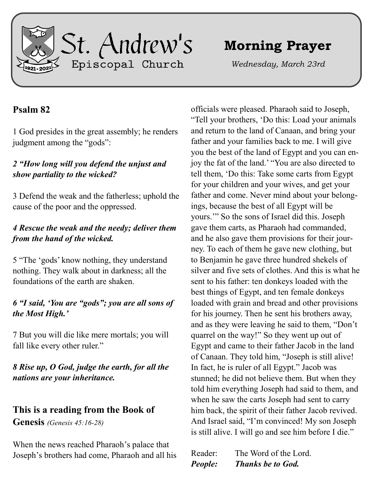

## **Psalm 82**

1 God presides in the great assembly; he renders judgment among the "gods":

#### *2 "How long will you defend the unjust and show partiality to the wicked?*

3 Defend the weak and the fatherless; uphold the cause of the poor and the oppressed.

#### *4 Rescue the weak and the needy; deliver them from the hand of the wicked.*

5 "The 'gods' know nothing, they understand nothing. They walk about in darkness; all the foundations of the earth are shaken.

#### *6 "I said, 'You are "gods"; you are all sons of the Most High.'*

7 But you will die like mere mortals; you will fall like every other ruler."

*8 Rise up, O God, judge the earth, for all the nations are your inheritance.*

# **This is a reading from the Book of**

**Genesis** *(Genesis 45:16-28)*

When the news reached Pharaoh's palace that Joseph's brothers had come, Pharaoh and all his

# **Morning Prayer**

*Wednesday, March 23rd*

officials were pleased. Pharaoh said to Joseph, "Tell your brothers, 'Do this: Load your animals and return to the land of Canaan, and bring your father and your families back to me. I will give you the best of the land of Egypt and you can enjoy the fat of the land.' "You are also directed to tell them, 'Do this: Take some carts from Egypt for your children and your wives, and get your father and come. Never mind about your belongings, because the best of all Egypt will be yours.'" So the sons of Israel did this. Joseph gave them carts, as Pharaoh had commanded, and he also gave them provisions for their journey. To each of them he gave new clothing, but to Benjamin he gave three hundred shekels of silver and five sets of clothes. And this is what he sent to his father: ten donkeys loaded with the best things of Egypt, and ten female donkeys loaded with grain and bread and other provisions for his journey. Then he sent his brothers away, and as they were leaving he said to them, "Don't quarrel on the way!" So they went up out of Egypt and came to their father Jacob in the land of Canaan. They told him, "Joseph is still alive! In fact, he is ruler of all Egypt." Jacob was stunned; he did not believe them. But when they told him everything Joseph had said to them, and when he saw the carts Joseph had sent to carry him back, the spirit of their father Jacob revived. And Israel said, "I'm convinced! My son Joseph is still alive. I will go and see him before I die."